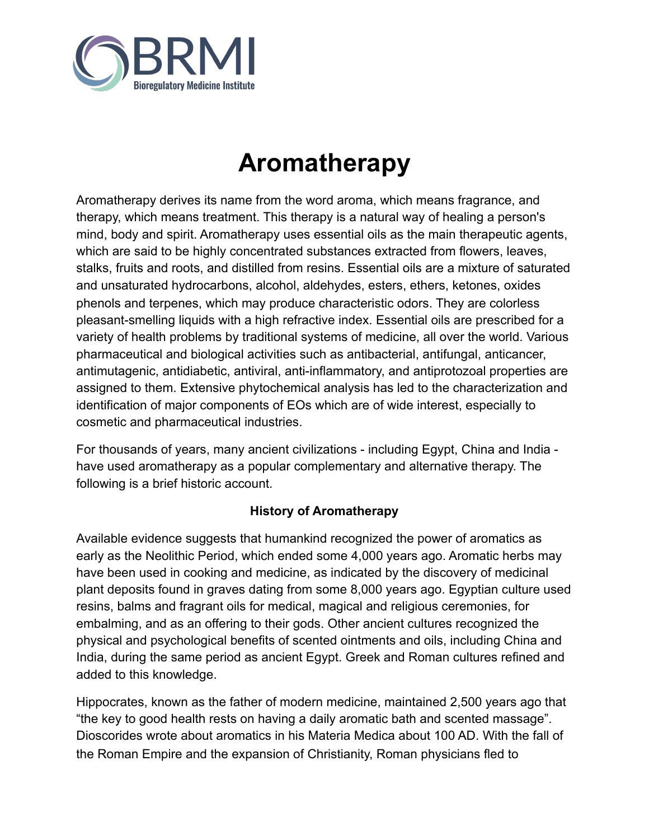

# **Aromatherapy**

Aromatherapy derives its name from the word aroma, which means fragrance, and therapy, which means treatment. This therapy is a natural way of healing a person's mind, body and spirit. Aromatherapy uses essential oils as the main therapeutic agents, which are said to be highly concentrated substances extracted from flowers, leaves, stalks, fruits and roots, and distilled from resins. Essential oils are a mixture of saturated and unsaturated hydrocarbons, alcohol, aldehydes, esters, ethers, ketones, oxides phenols and terpenes, which may produce characteristic odors. They are colorless pleasant-smelling liquids with a high refractive index. Essential oils are prescribed for a variety of health problems by traditional systems of medicine, all over the world. Various pharmaceutical and biological activities such as antibacterial, antifungal, anticancer, antimutagenic, antidiabetic, antiviral, anti-inflammatory, and antiprotozoal properties are assigned to them. Extensive phytochemical analysis has led to the characterization and identification of major components of EOs which are of wide interest, especially to cosmetic and pharmaceutical industries.

For thousands of years, many ancient civilizations - including Egypt, China and India have used aromatherapy as a popular complementary and alternative therapy. The following is a brief historic account.

# **History of Aromatherapy**

Available evidence suggests that humankind recognized the power of aromatics as early as the Neolithic Period, which ended some 4,000 years ago. Aromatic herbs may have been used in cooking and medicine, as indicated by the discovery of medicinal plant deposits found in graves dating from some 8,000 years ago. Egyptian culture used resins, balms and fragrant oils for medical, magical and religious ceremonies, for embalming, and as an offering to their gods. Other ancient cultures recognized the physical and psychological benefits of scented ointments and oils, including China and India, during the same period as ancient Egypt. Greek and Roman cultures refined and added to this knowledge.

Hippocrates, known as the father of modern medicine, maintained 2,500 years ago that "the key to good health rests on having a daily aromatic bath and scented massage". Dioscorides wrote about aromatics in his Materia Medica about 100 AD. With the fall of the Roman Empire and the expansion of Christianity, Roman physicians fled to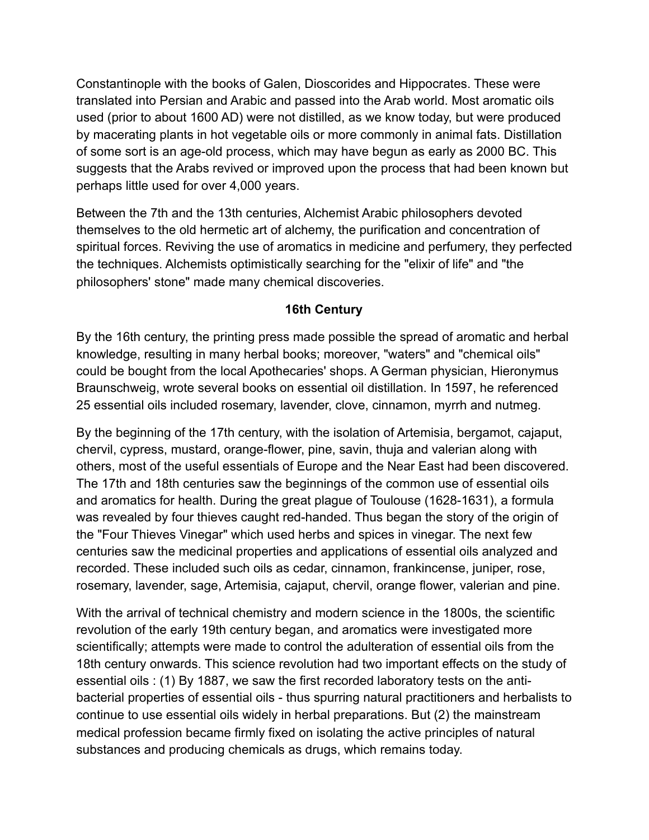Constantinople with the books of Galen, Dioscorides and Hippocrates. These were translated into Persian and Arabic and passed into the Arab world. Most aromatic oils used (prior to about 1600 AD) were not distilled, as we know today, but were produced by macerating plants in hot vegetable oils or more commonly in animal fats. Distillation of some sort is an age-old process, which may have begun as early as 2000 BC. This suggests that the Arabs revived or improved upon the process that had been known but perhaps little used for over 4,000 years.

Between the 7th and the 13th centuries, Alchemist Arabic philosophers devoted themselves to the old hermetic art of alchemy, the purification and concentration of spiritual forces. Reviving the use of aromatics in medicine and perfumery, they perfected the techniques. Alchemists optimistically searching for the "elixir of life" and "the philosophers' stone" made many chemical discoveries.

### **16th Century**

By the 16th century, the printing press made possible the spread of aromatic and herbal knowledge, resulting in many herbal books; moreover, "waters" and "chemical oils" could be bought from the local Apothecaries' shops. A German physician, Hieronymus Braunschweig, wrote several books on essential oil distillation. In 1597, he referenced 25 essential oils included rosemary, lavender, clove, cinnamon, myrrh and nutmeg.

By the beginning of the 17th century, with the isolation of Artemisia, bergamot, cajaput, chervil, cypress, mustard, orange-flower, pine, savin, thuja and valerian along with others, most of the useful essentials of Europe and the Near East had been discovered. The 17th and 18th centuries saw the beginnings of the common use of essential oils and aromatics for health. During the great plague of Toulouse (1628-1631), a formula was revealed by four thieves caught red-handed. Thus began the story of the origin of the "Four Thieves Vinegar" which used herbs and spices in vinegar. The next few centuries saw the medicinal properties and applications of essential oils analyzed and recorded. These included such oils as cedar, cinnamon, frankincense, juniper, rose, rosemary, lavender, sage, Artemisia, cajaput, chervil, orange flower, valerian and pine.

With the arrival of technical chemistry and modern science in the 1800s, the scientific revolution of the early 19th century began, and aromatics were investigated more scientifically; attempts were made to control the adulteration of essential oils from the 18th century onwards. This science revolution had two important effects on the study of essential oils : (1) By 1887, we saw the first recorded laboratory tests on the antibacterial properties of essential oils - thus spurring natural practitioners and herbalists to continue to use essential oils widely in herbal preparations. But (2) the mainstream medical profession became firmly fixed on isolating the active principles of natural substances and producing chemicals as drugs, which remains today.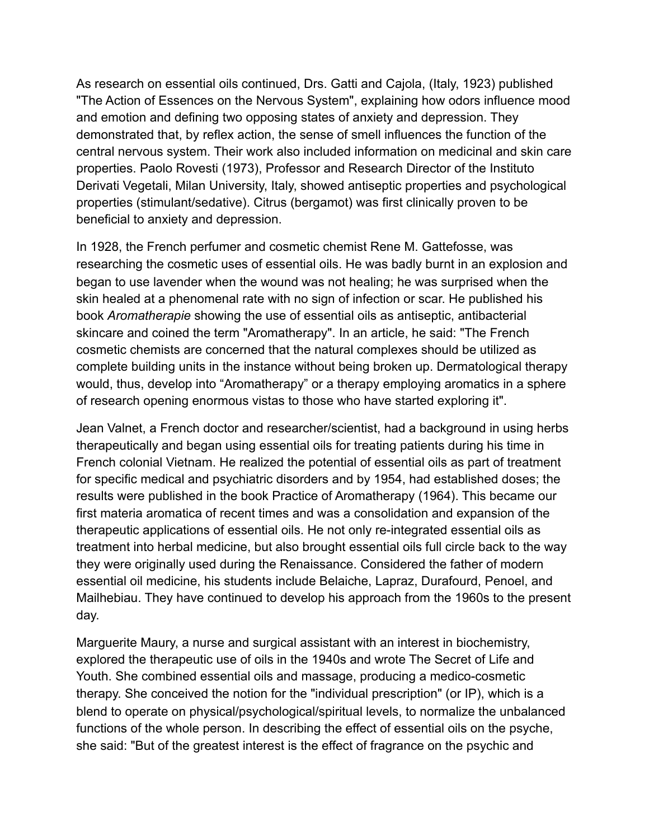As research on essential oils continued, Drs. Gatti and Cajola, (Italy, 1923) published "The Action of Essences on the Nervous System", explaining how odors influence mood and emotion and defining two opposing states of anxiety and depression. They demonstrated that, by reflex action, the sense of smell influences the function of the central nervous system. Their work also included information on medicinal and skin care properties. Paolo Rovesti (1973), Professor and Research Director of the Instituto Derivati Vegetali, Milan University, Italy, showed antiseptic properties and psychological properties (stimulant/sedative). Citrus (bergamot) was first clinically proven to be beneficial to anxiety and depression.

In 1928, the French perfumer and cosmetic chemist Rene M. Gattefosse, was researching the cosmetic uses of essential oils. He was badly burnt in an explosion and began to use lavender when the wound was not healing; he was surprised when the skin healed at a phenomenal rate with no sign of infection or scar. He published his book *Aromatherapie* showing the use of essential oils as antiseptic, antibacterial skincare and coined the term "Aromatherapy". In an article, he said: "The French cosmetic chemists are concerned that the natural complexes should be utilized as complete building units in the instance without being broken up. Dermatological therapy would, thus, develop into "Aromatherapy" or a therapy employing aromatics in a sphere of research opening enormous vistas to those who have started exploring it".

Jean Valnet, a French doctor and researcher/scientist, had a background in using herbs therapeutically and began using essential oils for treating patients during his time in French colonial Vietnam. He realized the potential of essential oils as part of treatment for specific medical and psychiatric disorders and by 1954, had established doses; the results were published in the book Practice of Aromatherapy (1964). This became our first materia aromatica of recent times and was a consolidation and expansion of the therapeutic applications of essential oils. He not only re-integrated essential oils as treatment into herbal medicine, but also brought essential oils full circle back to the way they were originally used during the Renaissance. Considered the father of modern essential oil medicine, his students include Belaiche, Lapraz, Durafourd, Penoel, and Mailhebiau. They have continued to develop his approach from the 1960s to the present day.

Marguerite Maury, a nurse and surgical assistant with an interest in biochemistry, explored the therapeutic use of oils in the 1940s and wrote The Secret of Life and Youth. She combined essential oils and massage, producing a medico-cosmetic therapy. She conceived the notion for the "individual prescription" (or IP), which is a blend to operate on physical/psychological/spiritual levels, to normalize the unbalanced functions of the whole person. In describing the effect of essential oils on the psyche, she said: "But of the greatest interest is the effect of fragrance on the psychic and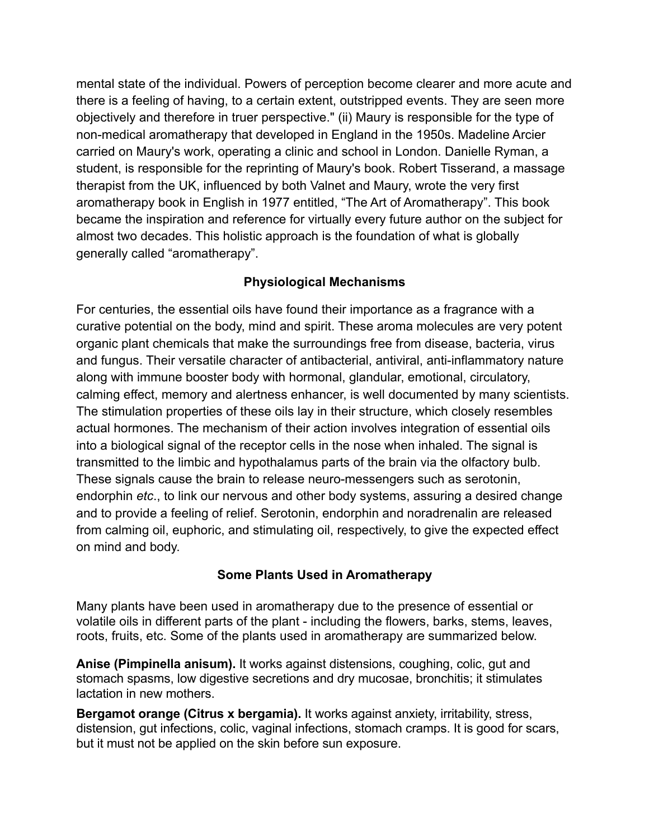mental state of the individual. Powers of perception become clearer and more acute and there is a feeling of having, to a certain extent, outstripped events. They are seen more objectively and therefore in truer perspective." (ii) Maury is responsible for the type of non-medical aromatherapy that developed in England in the 1950s. Madeline Arcier carried on Maury's work, operating a clinic and school in London. Danielle Ryman, a student, is responsible for the reprinting of Maury's book. Robert Tisserand, a massage therapist from the UK, influenced by both Valnet and Maury, wrote the very first aromatherapy book in English in 1977 entitled, "The Art of Aromatherapy". This book became the inspiration and reference for virtually every future author on the subject for almost two decades. This holistic approach is the foundation of what is globally generally called "aromatherapy".

## **Physiological Mechanisms**

For centuries, the essential oils have found their importance as a fragrance with a curative potential on the body, mind and spirit. These aroma molecules are very potent organic plant chemicals that make the surroundings free from disease, bacteria, virus and fungus. Their versatile character of antibacterial, antiviral, anti-inflammatory nature along with immune booster body with hormonal, glandular, emotional, circulatory, calming effect, memory and alertness enhancer, is well documented by many scientists. The stimulation properties of these oils lay in their structure, which closely resembles actual hormones. The mechanism of their action involves integration of essential oils into a biological signal of the receptor cells in the nose when inhaled. The signal is transmitted to the limbic and hypothalamus parts of the brain via the olfactory bulb. These signals cause the brain to release neuro-messengers such as serotonin, endorphin *etc*., to link our nervous and other body systems, assuring a desired change and to provide a feeling of relief. Serotonin, endorphin and noradrenalin are released from calming oil, euphoric, and stimulating oil, respectively, to give the expected effect on mind and body.

### **Some Plants Used in Aromatherapy**

Many plants have been used in aromatherapy due to the presence of essential or volatile oils in different parts of the plant - including the flowers, barks, stems, leaves, roots, fruits, etc. Some of the plants used in aromatherapy are summarized below.

**Anise (Pimpinella anisum).** It works against distensions, coughing, colic, gut and stomach spasms, low digestive secretions and dry mucosae, bronchitis; it stimulates lactation in new mothers.

**Bergamot orange (Citrus x bergamia).** It works against anxiety, irritability, stress, distension, gut infections, colic, vaginal infections, stomach cramps. It is good for scars, but it must not be applied on the skin before sun exposure.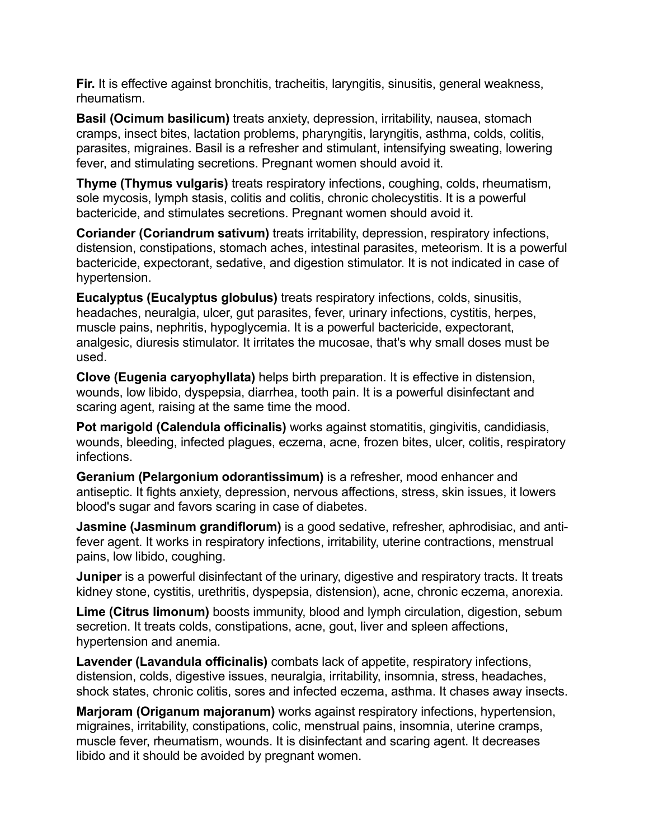**Fir.** It is effective against bronchitis, tracheitis, laryngitis, sinusitis, general weakness, rheumatism.

**Basil (Ocimum basilicum)** treats anxiety, depression, irritability, nausea, stomach cramps, insect bites, lactation problems, pharyngitis, laryngitis, asthma, colds, colitis, parasites, migraines. Basil is a refresher and stimulant, intensifying sweating, lowering fever, and stimulating secretions. Pregnant women should avoid it.

**Thyme (Thymus vulgaris)** treats respiratory infections, coughing, colds, rheumatism, sole mycosis, lymph stasis, colitis and colitis, chronic cholecystitis. It is a powerful bactericide, and stimulates secretions. Pregnant women should avoid it.

**Coriander (Coriandrum sativum)** treats irritability, depression, respiratory infections, distension, constipations, stomach aches, intestinal parasites, meteorism. It is a powerful bactericide, expectorant, sedative, and digestion stimulator. It is not indicated in case of hypertension.

**Eucalyptus (Eucalyptus globulus)** treats respiratory infections, colds, sinusitis, headaches, neuralgia, ulcer, gut parasites, fever, urinary infections, cystitis, herpes, muscle pains, nephritis, hypoglycemia. It is a powerful bactericide, expectorant, analgesic, diuresis stimulator. It irritates the mucosae, that's why small doses must be used.

**Clove (Eugenia caryophyllata)** helps birth preparation. It is effective in distension, wounds, low libido, dyspepsia, diarrhea, tooth pain. It is a powerful disinfectant and scaring agent, raising at the same time the mood.

**Pot marigold (Calendula officinalis)** works against stomatitis, gingivitis, candidiasis, wounds, bleeding, infected plagues, eczema, acne, frozen bites, ulcer, colitis, respiratory infections.

**Geranium (Pelargonium odorantissimum)** is a refresher, mood enhancer and antiseptic. It fights anxiety, depression, nervous affections, stress, skin issues, it lowers blood's sugar and favors scaring in case of diabetes.

**Jasmine (Jasminum grandiflorum)** is a good sedative, refresher, aphrodisiac, and antifever agent. It works in respiratory infections, irritability, uterine contractions, menstrual pains, low libido, coughing.

**Juniper** is a powerful disinfectant of the urinary, digestive and respiratory tracts. It treats kidney stone, cystitis, urethritis, dyspepsia, distension), acne, chronic eczema, anorexia.

**Lime (Citrus limonum)** boosts immunity, blood and lymph circulation, digestion, sebum secretion. It treats colds, constipations, acne, gout, liver and spleen affections, hypertension and anemia.

**Lavender (Lavandula officinalis)** combats lack of appetite, respiratory infections, distension, colds, digestive issues, neuralgia, irritability, insomnia, stress, headaches, shock states, chronic colitis, sores and infected eczema, asthma. It chases away insects.

**Marjoram (Origanum majoranum)** works against respiratory infections, hypertension, migraines, irritability, constipations, colic, menstrual pains, insomnia, uterine cramps, muscle fever, rheumatism, wounds. It is disinfectant and scaring agent. It decreases libido and it should be avoided by pregnant women.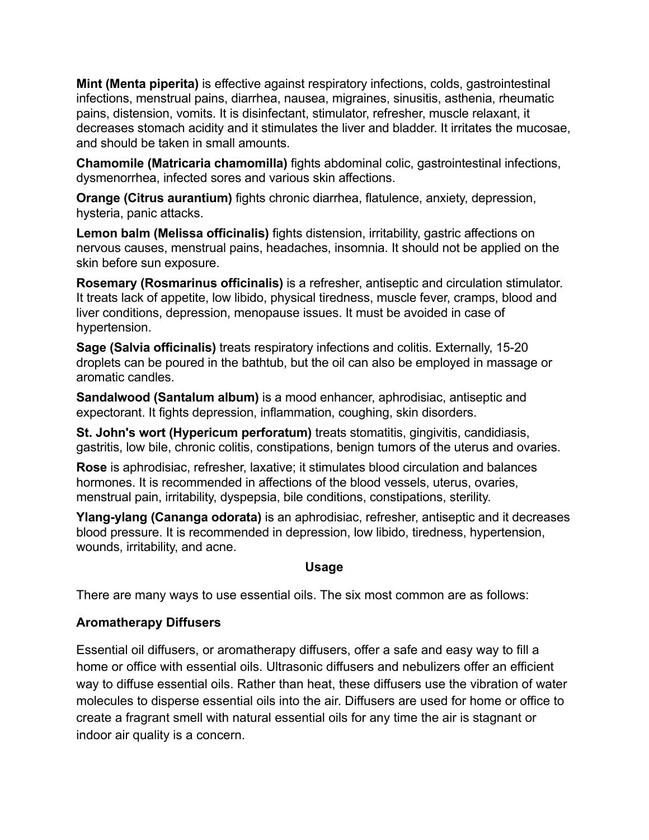**Mint (Menta piperita)** is effective against respiratory infections, colds, gastrointestinal infections, menstrual pains, diarrhea, nausea, migraines, sinusitis, asthenia, rheumatic pains, distension, vomits. It is disinfectant, stimulator, refresher, muscle relaxant, it decreases stomach acidity and it stimulates the liver and bladder. It irritates the mucosae, and should be taken in small amounts.

**Chamomile (Matricaria chamomilla)** fights abdominal colic, gastrointestinal infections, dysmenorrhea, infected sores and various skin affections.

**Orange (Citrus aurantium)** fights chronic diarrhea, flatulence, anxiety, depression, hysteria, panic attacks.

**Lemon balm (Melissa officinalis)** fights distension, irritability, gastric affections on nervous causes, menstrual pains, headaches, insomnia. It should not be applied on the skin before sun exposure.

**Rosemary (Rosmarinus officinalis)** is a refresher, antiseptic and circulation stimulator. It treats lack of appetite, low libido, physical tiredness, muscle fever, cramps, blood and liver conditions, depression, menopause issues. It must be avoided in case of hypertension.

**Sage (Salvia officinalis)** treats respiratory infections and colitis. Externally, 15-20 droplets can be poured in the bathtub, but the oil can also be employed in massage or aromatic candles.

**Sandalwood (Santalum album)** is a mood enhancer, aphrodisiac, antiseptic and expectorant. It fights depression, inflammation, coughing, skin disorders.

**St. John's wort (Hypericum perforatum)** treats stomatitis, gingivitis, candidiasis, gastritis, low bile, chronic colitis, constipations, benign tumors of the uterus and ovaries.

**Rose** is aphrodisiac, refresher, laxative; it stimulates blood circulation and balances hormones. It is recommended in affections of the blood vessels, uterus, ovaries, menstrual pain, irritability, dyspepsia, bile conditions, constipations, sterility.

**Ylang-ylang (Cananga odorata)** is an aphrodisiac, refresher, antiseptic and it decreases blood pressure. It is recommended in depression, low libido, tiredness, hypertension, wounds, irritability, and acne.

### **Usage**

There are many ways to use essential oils. The six most common are as follows:

### **Aromatherapy Diffusers**

Essential oil diffusers, or aromatherapy diffusers, offer a safe and easy way to fill a home or office with essential oils. Ultrasonic diffusers and nebulizers offer an efficient way to diffuse essential oils. Rather than heat, these diffusers use the vibration of water molecules to disperse essential oils into the air. Diffusers are used for home or office to create a fragrant smell with natural essential oils for any time the air is stagnant or indoor air quality is a concern.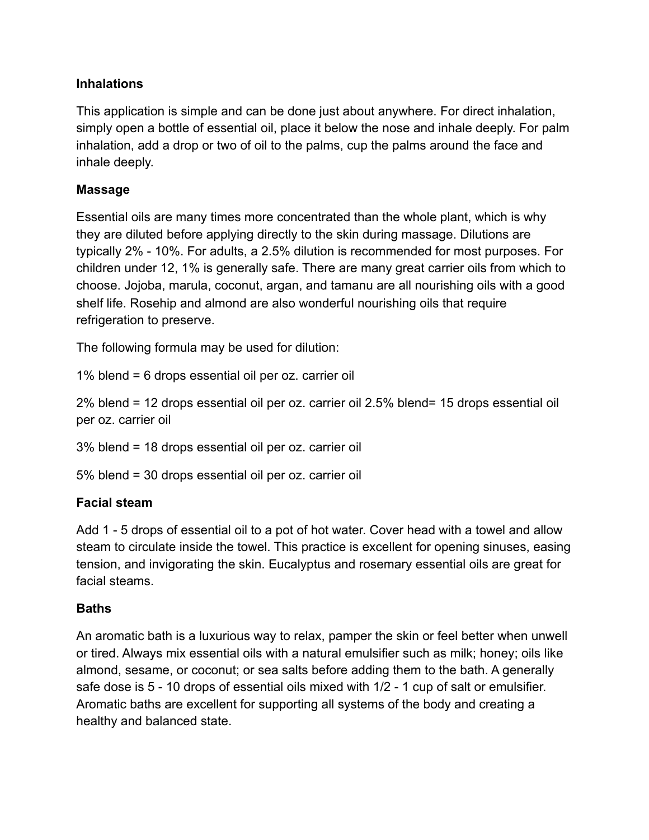## **Inhalations**

This application is simple and can be done just about anywhere. For direct inhalation, simply open a bottle of essential oil, place it below the nose and inhale deeply. For palm inhalation, add a drop or two of oil to the palms, cup the palms around the face and inhale deeply.

## **Massage**

Essential oils are many times more concentrated than the whole plant, which is why they are diluted before applying directly to the skin during massage. Dilutions are typically 2% - 10%. For adults, a 2.5% dilution is recommended for most purposes. For children under 12, 1% is generally safe. There are many great carrier oils from which to choose. Jojoba, marula, coconut, argan, and tamanu are all nourishing oils with a good shelf life. Rosehip and almond are also wonderful nourishing oils that require refrigeration to preserve.

The following formula may be used for dilution:

1% blend = 6 drops essential oil per oz. carrier oil

2% blend = 12 drops essential oil per oz. carrier oil 2.5% blend= 15 drops essential oil per oz. carrier oil

3% blend = 18 drops essential oil per oz. carrier oil

5% blend = 30 drops essential oil per oz. carrier oil

### **Facial steam**

Add 1 - 5 drops of essential oil to a pot of hot water. Cover head with a towel and allow steam to circulate inside the towel. This practice is excellent for opening sinuses, easing tension, and invigorating the skin. Eucalyptus and rosemary essential oils are great for facial steams.

# **Baths**

An aromatic bath is a luxurious way to relax, pamper the skin or feel better when unwell or tired. Always mix essential oils with a natural emulsifier such as milk; honey; oils like almond, sesame, or coconut; or sea salts before adding them to the bath. A generally safe dose is 5 - 10 drops of essential oils mixed with 1/2 - 1 cup of salt or emulsifier. Aromatic baths are excellent for supporting all systems of the body and creating a healthy and balanced state.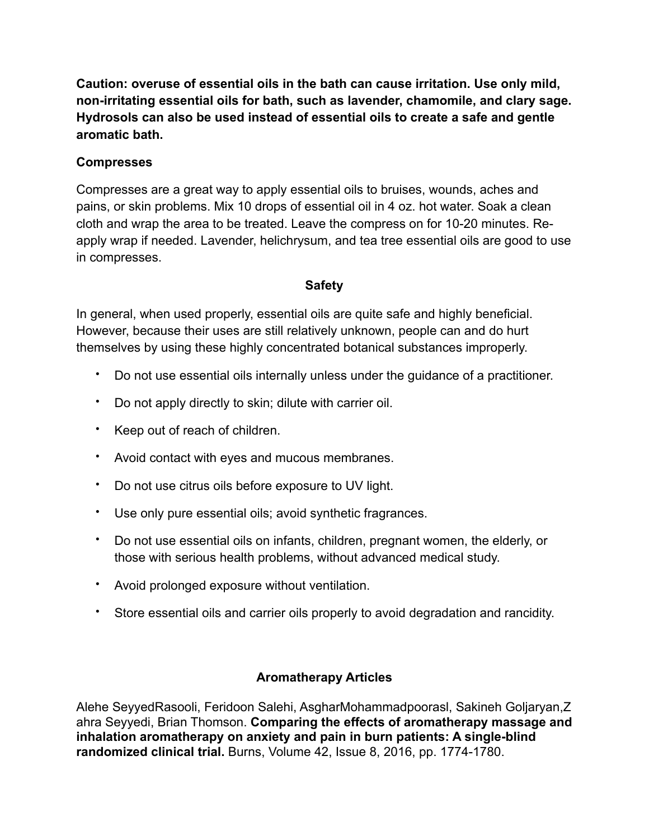**Caution: overuse of essential oils in the bath can cause irritation. Use only mild, non-irritating essential oils for bath, such as lavender, chamomile, and clary sage. Hydrosols can also be used instead of essential oils to create a safe and gentle aromatic bath.** 

## **Compresses**

Compresses are a great way to apply essential oils to bruises, wounds, aches and pains, or skin problems. Mix 10 drops of essential oil in 4 oz. hot water. Soak a clean cloth and wrap the area to be treated. Leave the compress on for 10-20 minutes. Reapply wrap if needed. Lavender, helichrysum, and tea tree essential oils are good to use in compresses.

# **Safety**

In general, when used properly, essential oils are quite safe and highly beneficial. However, because their uses are still relatively unknown, people can and do hurt themselves by using these highly concentrated botanical substances improperly.

- Do not use essential oils internally unless under the guidance of a practitioner.
- Do not apply directly to skin; dilute with carrier oil.
- Keep out of reach of children.
- Avoid contact with eyes and mucous membranes.
- Do not use citrus oils before exposure to UV light.
- Use only pure essential oils; avoid synthetic fragrances.
- Do not use essential oils on infants, children, pregnant women, the elderly, or those with serious health problems, without advanced medical study.
- Avoid prolonged exposure without ventilation.
- Store essential oils and carrier oils properly to avoid degradation and rancidity.

# **Aromatherapy Articles**

Alehe SeyyedRasooli, Feridoon Salehi, AsgharMohammadpoorasl, Sakineh Goljaryan,Z ahra Seyyedi, Brian Thomson. **Comparing the effects of aromatherapy massage and inhalation aromatherapy on anxiety and pain in burn patients: A single-blind randomized clinical trial.** Burns, Volume 42, Issue 8, 2016, pp. 1774-1780.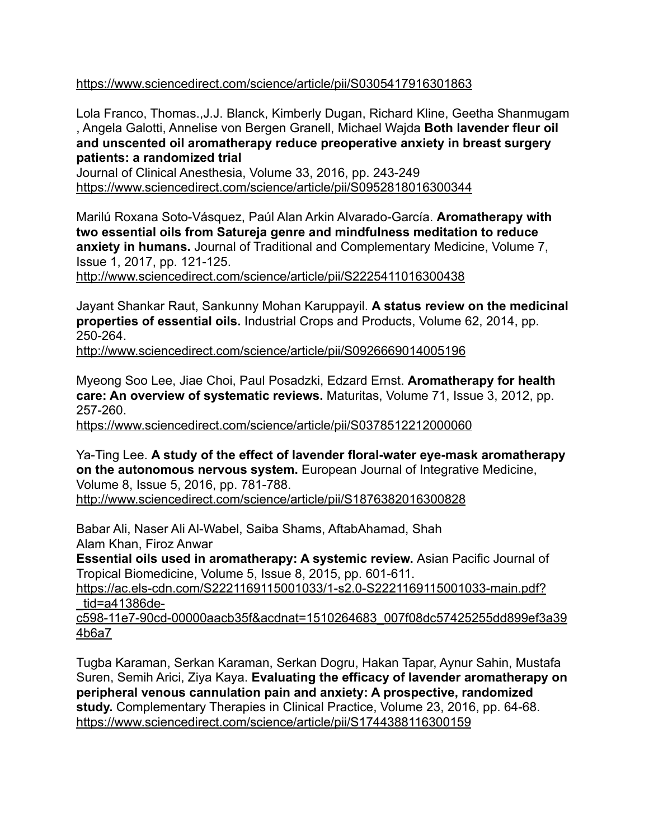<https://www.sciencedirect.com/science/article/pii/S0305417916301863>

Lola Franco, Thomas.,J.J. Blanck, Kimberly Dugan, Richard Kline, Geetha Shanmugam , Angela Galotti, Annelise von Bergen Granell, Michael Wajda **Both lavender fleur oil and unscented oil aromatherapy reduce preoperative anxiety in breast surgery patients: a randomized trial** 

Journal of Clinical Anesthesia, Volume 33, 2016, pp. 243-249 <https://www.sciencedirect.com/science/article/pii/S0952818016300344>

Marilú Roxana Soto-Vásquez, Paúl Alan Arkin Alvarado-García. **Aromatherapy with two essential oils from Satureja genre and mindfulness meditation to reduce anxiety in humans.** Journal of Traditional and Complementary Medicine, Volume 7, Issue 1, 2017, pp. 121-125.

<http://www.sciencedirect.com/science/article/pii/S2225411016300438>

Jayant Shankar Raut, Sankunny Mohan Karuppayil. **A status review on the medicinal properties of essential oils.** Industrial Crops and Products, Volume 62, 2014, pp. 250-264.

<http://www.sciencedirect.com/science/article/pii/S0926669014005196>

Myeong Soo Lee, Jiae Choi, Paul Posadzki, Edzard Ernst. **Aromatherapy for health care: An overview of systematic reviews.** Maturitas, Volume 71, Issue 3, 2012, pp. 257-260.

<https://www.sciencedirect.com/science/article/pii/S0378512212000060>

Ya-Ting Lee. **A study of the effect of lavender floral-water eye-mask aromatherapy on the autonomous nervous system.** European Journal of Integrative Medicine, Volume 8, Issue 5, 2016, pp. 781-788.

<http://www.sciencedirect.com/science/article/pii/S1876382016300828>

Babar Ali, Naser Ali Al-Wabel, Saiba Shams, AftabAhamad, Shah Alam Khan, Firoz Anwar

**Essential oils used in aromatherapy: A systemic review.** Asian Pacific Journal of Tropical Biomedicine, Volume 5, Issue 8, 2015, pp. 601-611.

[https://ac.els-cdn.com/S2221169115001033/1-s2.0-S2221169115001033-main.pdf?](https://ac.els-cdn.com/S2221169115001033/1-s2.0-S2221169115001033-main.pdf?_tid=a41386de-c598-11e7-90cd-00000aacb35f&acdnat=1510264683_007f08dc57425255dd899ef3a394b6a7) [\\_tid=a41386de-](https://ac.els-cdn.com/S2221169115001033/1-s2.0-S2221169115001033-main.pdf?_tid=a41386de-c598-11e7-90cd-00000aacb35f&acdnat=1510264683_007f08dc57425255dd899ef3a394b6a7)

[c598-11e7-90cd-00000aacb35f&acdnat=1510264683\\_007f08dc57425255dd899ef3a39](https://ac.els-cdn.com/S2221169115001033/1-s2.0-S2221169115001033-main.pdf?_tid=a41386de-c598-11e7-90cd-00000aacb35f&acdnat=1510264683_007f08dc57425255dd899ef3a394b6a7) [4b6a7](https://ac.els-cdn.com/S2221169115001033/1-s2.0-S2221169115001033-main.pdf?_tid=a41386de-c598-11e7-90cd-00000aacb35f&acdnat=1510264683_007f08dc57425255dd899ef3a394b6a7)

Tugba Karaman, Serkan Karaman, Serkan Dogru, Hakan Tapar, Aynur Sahin, Mustafa Suren, Semih Arici, Ziya Kaya. **Evaluating the efficacy of lavender aromatherapy on peripheral venous cannulation pain and anxiety: A prospective, randomized study.** Complementary Therapies in Clinical Practice, Volume 23, 2016, pp. 64-68. <https://www.sciencedirect.com/science/article/pii/S1744388116300159>